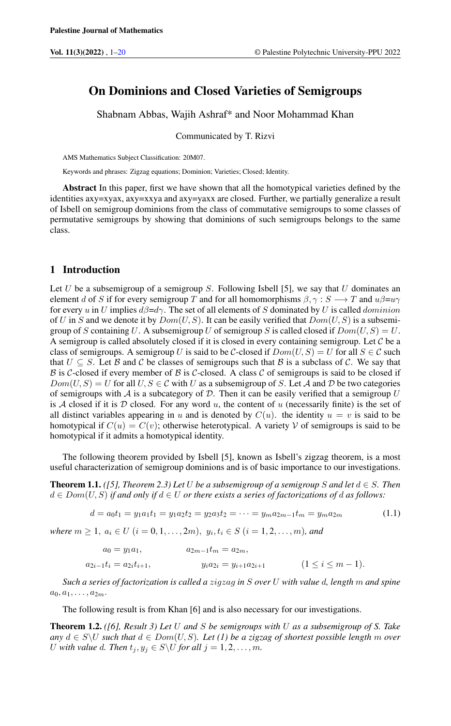## On Dominions and Closed Varieties of Semigroups

Shabnam Abbas, Wajih Ashraf\* and Noor Mohammad Khan

Communicated by T. Rizvi

AMS Mathematics Subject Classification: 20M07.

Keywords and phrases: Zigzag equations; Dominion; Varieties; Closed; Identity.

Abstract In this paper, first we have shown that all the homotypical varieties defined by the identities axy=xyax, axy=xxya and axy=yaxx are closed. Further, we partially generalize a result of Isbell on semigroup dominions from the class of commutative semigroups to some classes of permutative semigroups by showing that dominions of such semigroups belongs to the same class.

#### 1 Introduction

Let U be a subsemigroup of a semigroup S. Following Isbell [5], we say that U dominates an element d of S if for every semigroup T and for all homomorphisms  $\beta, \gamma : S \longrightarrow T$  and  $u\beta = u\gamma$ for every u in U implies  $d\beta = d\gamma$ . The set of all elements of S dominated by U is called dominion of U in S and we denote it by  $Dom(U, S)$ . It can be easily verified that  $Dom(U, S)$  is a subsemigroup of S containing U. A subsemigroup U of semigroup S is called closed if  $Dom(U, S) = U$ . A semigroup is called absolutely closed if it is closed in every containing semigroup. Let  $\mathcal C$  be a class of semigroups. A semigroup U is said to be C-closed if  $Dom(U, S) = U$  for all  $S \in \mathcal{C}$  such that  $U \subseteq S$ . Let B and C be classes of semigroups such that B is a subclass of C. We say that B is C-closed if every member of B is C-closed. A class C of semigroups is said to be closed if  $Dom(U, S) = U$  for all  $U, S \in \mathcal{C}$  with U as a subsemigroup of S. Let A and D be two categories of semigroups with A is a subcategory of D. Then it can be easily verified that a semigroup U is A closed if it is D closed. For any word  $u$ , the content of u (necessarily finite) is the set of all distinct variables appearing in u and is denoted by  $C(u)$ . the identity  $u = v$  is said to be homotypical if  $C(u) = C(v)$ ; otherwise heterotypical. A variety V of semigroups is said to be homotypical if it admits a homotypical identity.

The following theorem provided by Isbell [5], known as Isbell's zigzag theorem, is a most useful characterization of semigroup dominions and is of basic importance to our investigations.

**Theorem 1.1.** *([5], Theorem 2.3) Let* U *be a subsemigroup of a semigroup* S and let  $d \in S$ *. Then*  $d \in Dom(U, S)$  *if and only if*  $d \in U$  *or there exists a series of factorizations of d as follows:* 

$$
d = a_0 t_1 = y_1 a_1 t_1 = y_1 a_2 t_2 = y_2 a_3 t_2 = \dots = y_m a_{2m-1} t_m = y_m a_{2m}
$$
(1.1)

 $where m \ge 1, a_i \in U$   $(i = 0, 1, \ldots, 2m), y_i, t_i \in S$   $(i = 1, 2, \ldots, m)$ *, and* 

$$
a_0 = y_1 a_1, \t a_{2m-1} t_m = a_{2m},
$$
  
\n
$$
a_{2i-1} t_i = a_{2i} t_{i+1}, \t y_i a_{2i} = y_{i+1} a_{2i+1} \t (1 \le i \le m-1).
$$

*Such a series of factorization is called a* zigzag *in* S *over* U *with value* d*, length* m *and spine*  $a_0, a_1, \ldots, a_{2m}$ .

The following result is from Khan [6] and is also necessary for our investigations.

Theorem 1.2. *([6], Result 3) Let* U *and* S *be semigroups with* U *as a subsemigroup of S. Take any*  $d \text{ ∈ } S \setminus U$  *such that*  $d \text{ ∈ } Dom(U, S)$ *. Let* (1) be a zigzag of shortest possible length m over U with value d. Then  $t_j, y_j \in S \backslash U$  for all  $j = 1, 2, \ldots, m$ .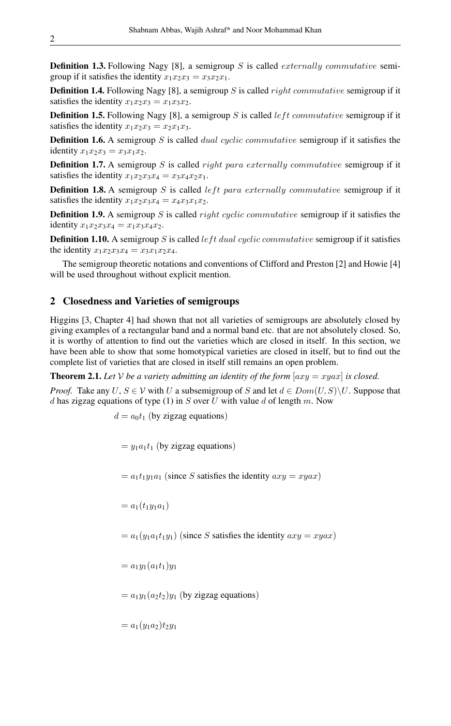**Definition 1.3.** Following Nagy [8], a semigroup S is called *externally commutative* semigroup if it satisfies the identity  $x_1x_2x_3 = x_3x_2x_1$ .

**Definition 1.4.** Following Nagy [8], a semigroup S is called right commutative semigroup if it satisfies the identity  $x_1x_2x_3 = x_1x_3x_2$ .

**Definition 1.5.** Following Nagy [8], a semigroup S is called *left commutative* semigroup if it satisfies the identity  $x_1x_2x_3 = x_2x_1x_3$ .

**Definition 1.6.** A semigroup S is called *dual cyclic commutative* semigroup if it satisfies the identity  $x_1x_2x_3 = x_3x_1x_2$ .

**Definition 1.7.** A semigroup S is called *right para externally commutative* semigroup if it satisfies the identity  $x_1x_2x_3x_4 = x_3x_4x_2x_1$ .

**Definition 1.8.** A semigroup S is called *left para externally commutative* semigroup if it satisfies the identity  $x_1x_2x_3x_4 = x_4x_3x_1x_2$ .

**Definition 1.9.** A semigroup S is called *right cyclic commutative semigroup* if it satisfies the identity  $x_1x_2x_3x_4 = x_1x_3x_4x_2$ .

**Definition 1.10.** A semigroup S is called left dual cyclic commutative semigroup if it satisfies the identity  $x_1x_2x_3x_4 = x_3x_1x_2x_4$ .

The semigroup theoretic notations and conventions of Clifford and Preston [2] and Howie [4] will be used throughout without explicit mention.

### 2 Closedness and Varieties of semigroups

Higgins [3, Chapter 4] had shown that not all varieties of semigroups are absolutely closed by giving examples of a rectangular band and a normal band etc. that are not absolutely closed. So, it is worthy of attention to find out the varieties which are closed in itself. In this section, we have been able to show that some homotypical varieties are closed in itself, but to find out the complete list of varieties that are closed in itself still remains an open problem.

**Theorem 2.1.** Let *V* be a variety admitting an identity of the form  $[axy = xyax]$  is closed.

*Proof.* Take any  $U, S \in V$  with U a subsemigroup of S and let  $d \in Dom(U, S) \backslash U$ . Suppose that d has zigzag equations of type (1) in S over U with value d of length m. Now

 $d = a_0 t_1$  (by zigzag equations)

 $= y_1a_1t_1$  (by zigzag equations)

 $= a_1t_1y_1a_1$  (since S satisfies the identity  $axy = xyax$ )

 $= a_1(t_1y_1a_1)$ 

 $= a_1(y_1a_1t_1y_1)$  (since S satisfies the identity  $axy = xyax$ )

 $= a_1y_1(a_1t_1)y_1$ 

 $= a_1y_1(a_2t_2)y_1$  (by zigzag equations)

 $= a_1(y_1a_2)t_2y_1$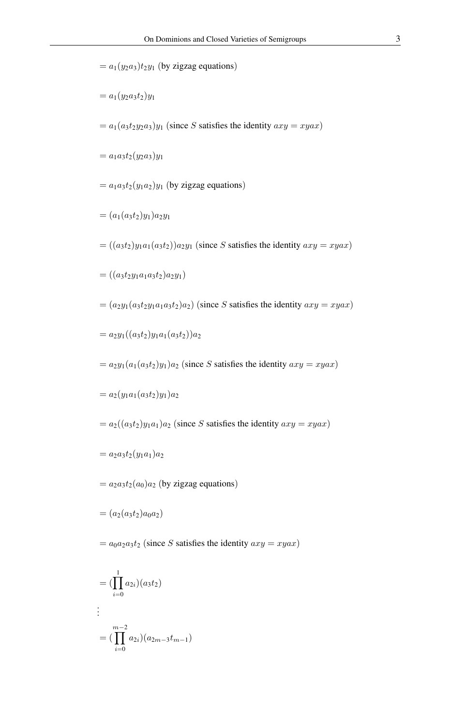$= a_1(y_2a_3)t_2y_1$  (by zigzag equations)

$$
= a_1(y_2a_3t_2)y_1
$$

 $= a_1(a_3t_2y_2a_3)y_1$  (since S satisfies the identity  $axy = xyax$ )

 $= a_1 a_3 t_2 (y_2 a_3) y_1$ 

 $= a_1 a_3 t_2 (y_1 a_2) y_1$  (by zigzag equations)

$$
= (a_1(a_3t_2)y_1)a_2y_1
$$

 $= ((a_3t_2)y_1a_1(a_3t_2))a_2y_1$  (since S satisfies the identity  $axy = xyax$ )

 $= ((a_3t_2y_1a_1a_3t_2)a_2y_1)$ 

 $=(a_2y_1(a_3t_2y_1a_1a_3t_2)a_2)$  (since S satisfies the identity  $axy = xyax$ )

$$
= a_2 y_1((a_3 t_2) y_1 a_1(a_3 t_2)) a_2
$$

 $= a_2y_1(a_1(a_3t_2)y_1)a_2$  (since S satisfies the identity  $axy = xyax$ )

$$
= a_2(y_1a_1(a_3t_2)y_1)a_2
$$

 $= a_2((a_3t_2)y_1a_1)a_2$  (since S satisfies the identity  $axy = xyax$ )

$$
= a_2a_3t_2(y_1a_1)a_2
$$

 $= a_2a_3t_2(a_0)a_2$  (by zigzag equations)

$$
= (a_2(a_3t_2)a_0a_2)
$$

 $= a_0a_2a_3t_2$  (since S satisfies the identity  $axy = xyax$ )

$$
= (\prod_{i=0}^{1} a_{2i})(a_3t_2)
$$
  
\n:  
\n
$$
= (\prod_{i=0}^{m-2} a_{2i})(a_{2m-3}t_{m-1})
$$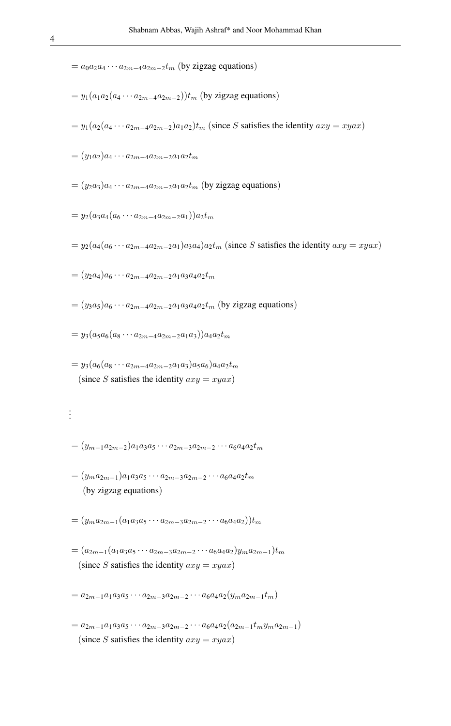- $= a_0 a_2 a_4 \cdots a_{2m-4} a_{2m-2} t_m$  (by zigzag equations)
- $= y_1(a_1a_2(a_4 \cdots a_{2m-4}a_{2m-2}))t_m$  (by zigzag equations)
- $= y_1(a_2(a_4 \cdots a_{2m-4}a_{2m-2})a_1a_2)t_m$  (since S satisfies the identity  $axy = xyax$ )
- $=(y_1a_2)a_4\cdots a_{2m-4}a_{2m-2}a_1a_2t_m$
- $=(y_2a_3)a_4\cdots a_{2m-4}a_{2m-2}a_1a_2t_m$  (by zigzag equations)
- $= y_2(a_3a_4(a_6 \cdots a_{2m-4}a_{2m-2}a_1))a_2t_m$
- $= y_2(a_4(a_6 \cdots a_{2m-4}a_{2m-2}a_1)a_3a_4)a_2t_m$  (since S satisfies the identity  $axy = xyax$ )
- $=(y_2a_4)a_6\cdots a_{2m-4}a_{2m-2}a_1a_3a_4a_2t_m$
- $=(y_3a_5)a_6\cdots a_{2m-4}a_{2m-2}a_1a_3a_4a_2t_m$  (by zigzag equations)
- $= y_3(a_5a_6(a_8 \cdots a_{2m-4}a_{2m-2}a_1a_3))a_4a_2t_m$
- $= y_3(a_6(a_8 \cdots a_{2m-4}a_{2m-2}a_1a_3)a_5a_6)a_4a_2t_m$ (since S satisfies the identity  $axy = xyax$ )

# . . .

- $=(y_{m-1}a_{2m-2})a_1a_3a_5\cdots a_{2m-3}a_{2m-2}\cdots a_6a_4a_2t_m$
- $=(y_ma_{2m-1})a_1a_3a_5\cdots a_{2m-3}a_{2m-2}\cdots a_6a_4a_2t_m$ (by zigzag equations)
- $=(y_ma_{2m-1}(a_1a_3a_5\cdots a_{2m-3}a_{2m-2}\cdots a_6a_4a_2))t_m$
- $=(a_{2m-1}(a_1a_3a_5\cdots a_{2m-3}a_{2m-2}\cdots a_6a_4a_2)y_m a_{2m-1})t_m$ (since S satisfies the identity  $axy = xyax$ )

 $= a_{2m-1}a_1a_3a_5 \cdots a_{2m-3}a_{2m-2} \cdots a_6a_4a_2(y_ma_{2m-1}t_m)$ 

 $= a_{2m-1}a_1a_3a_5 \cdots a_{2m-3}a_{2m-2} \cdots a_6a_4a_2(a_{2m-1}t_my_ma_{2m-1})$ (since S satisfies the identity  $axy = xyax$ )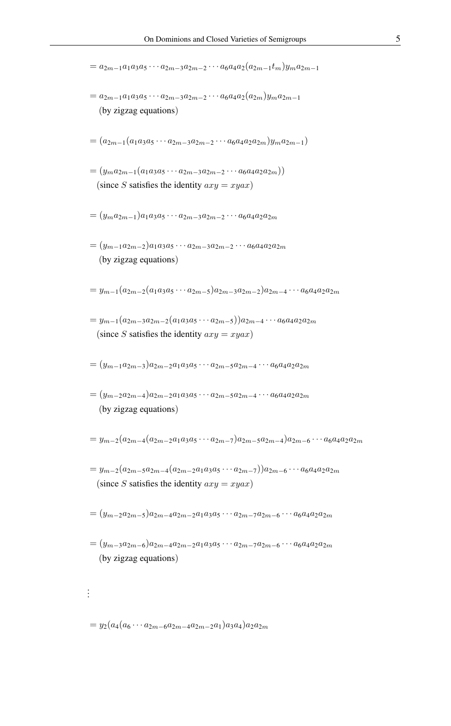$= a_{2m-1}a_1a_3a_5 \cdots a_{2m-3}a_{2m-2} \cdots a_6a_4a_2(a_{2m-1}t_m)y_m a_{2m-1}$  $= a_{2m-1}a_1a_3a_5 \cdots a_{2m-3}a_{2m-2} \cdots a_6a_4a_2(a_{2m})y_ma_{2m-1}$ (by zigzag equations)  $=(a_{2m-1}(a_1a_3a_5\cdots a_{2m-3}a_{2m-2}\cdots a_6a_4a_2a_{2m})y_ma_{2m-1})$  $=(y_ma_{2m-1}(a_1a_3a_5\cdots a_{2m-3}a_{2m-2}\cdots a_6a_4a_2a_{2m}))$ (since S satisfies the identity  $axy = xyax$ )  $=(y_m a_{2m-1})a_1 a_3 a_5 \cdots a_{2m-3} a_{2m-2} \cdots a_6 a_4 a_2 a_{2m}$  $=(y_{m-1}a_{2m-2})a_1a_3a_5\cdots a_{2m-3}a_{2m-2}\cdots a_6a_4a_2a_{2m}$ (by zigzag equations)  $= y_{m-1}(a_{2m-2}(a_1a_3a_5\cdots a_{2m-5})a_{2m-3}a_{2m-2})a_{2m-4}\cdots a_6a_4a_2a_{2m}$  $= y_{m-1}(a_{2m-3}a_{2m-2}(a_1a_3a_5\cdots a_{2m-5}))a_{2m-4}\cdots a_6a_4a_2a_{2m}$ (since S satisfies the identity  $axy = xyax$ )  $=(y_{m-1}a_{2m-3})a_{2m-2}a_1a_3a_5\cdots a_{2m-5}a_{2m-4}\cdots a_6a_4a_2a_{2m}$  $=(y_{m-2}a_{2m-4})a_{2m-2}a_1a_3a_5\cdots a_{2m-5}a_{2m-4}\cdots a_6a_4a_2a_{2m}$ (by zigzag equations)  $= y_{m-2}(a_{2m-4}(a_{2m-2}a_1a_3a_5\cdots a_{2m-7})a_{2m-5}a_{2m-4})a_{2m-6}\cdots a_6a_4a_2a_{2m}$  $= y_{m-2}(a_{2m-5}a_{2m-4}(a_{2m-2}a_1a_3a_5\cdots a_{2m-7}))a_{2m-6}\cdots a_6a_4a_2a_{2m}$ (since S satisfies the identity  $axy = xyax$ )  $=(y_{m-2}a_{2m-5})a_{2m-4}a_{2m-2}a_1a_3a_5\cdots a_{2m-7}a_{2m-6}\cdots a_6a_4a_2a_{2m}$  $=(y_{m-3}a_{2m-6})a_{2m-4}a_{2m-2}a_1a_3a_5\cdots a_{2m-7}a_{2m-6}\cdots a_6a_4a_2a_{2m}$ (by zigzag equations) . . .

 $= y_2(a_4(a_6 \cdots a_{2m-6}a_{2m-4}a_{2m-2}a_1)a_3a_4)a_2a_{2m}$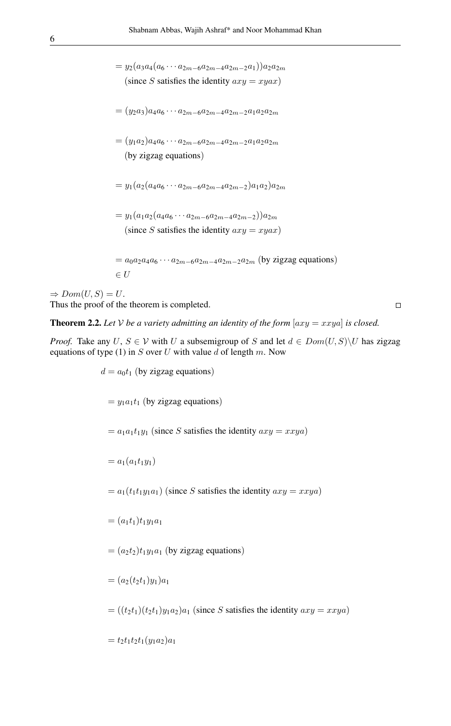$= y_2(a_3a_4(a_6 \cdots a_{2m-6}a_{2m-4}a_{2m-2}a_1))a_2a_{2m}$ (since S satisfies the identity  $axy = xyax$ )

- $=(y_2a_3)a_4a_6\cdots a_{2m-6}a_{2m-4}a_{2m-2}a_1a_2a_{2m}$
- $=(y_1a_2)a_4a_6\cdots a_{2m-6}a_{2m-4}a_{2m-2}a_1a_2a_{2m}$ (by zigzag equations)
- $= y_1(a_2(a_4a_6 \cdots a_{2m-6}a_{2m-4}a_{2m-2})a_1a_2)a_{2m}$
- $= y_1(a_1a_2(a_4a_6 \cdots a_{2m-6}a_{2m-4}a_{2m-2}))a_{2m}$ (since S satisfies the identity  $axy = xyax$ )
- $= a_0 a_2 a_4 a_6 \cdots a_{2m-6} a_{2m-4} a_{2m-2} a_{2m}$  (by zigzag equations)  $\in U$

 $\Rightarrow Dom(U, S) = U.$ Thus the proof of the theorem is completed.

 $d = a_0 t_1$  (by zigzag equations)

$$
\Box
$$

**Theorem 2.2.** Let V be a variety admitting an identity of the form  $[axy = xxya]$  is closed.

*Proof.* Take any U,  $S \in V$  with U a subsemigroup of S and let  $d \in Dom(U, S) \setminus U$  has zigzag equations of type (1) in  $S$  over  $U$  with value  $d$  of length  $m$ . Now

> $= y_1a_1t_1$  (by zigzag equations)  $= a_1a_1t_1y_1$  (since S satisfies the identity  $axy = xxya$ )  $= a_1(a_1t_1y_1)$  $= a_1(t_1t_1y_1a_1)$  (since S satisfies the identity  $axy = xxya$ )  $=(a_1t_1)t_1y_1a_1$  $=(a_2t_2)t_1y_1a_1$  (by zigzag equations)  $=(a_2(t_2t_1)y_1)a_1$  $= ((t_2t_1)(t_2t_1)y_1a_2)a_1$  (since S satisfies the identity  $axy = xxya$ )  $= t_2t_1t_2t_1(y_1a_2)a_1$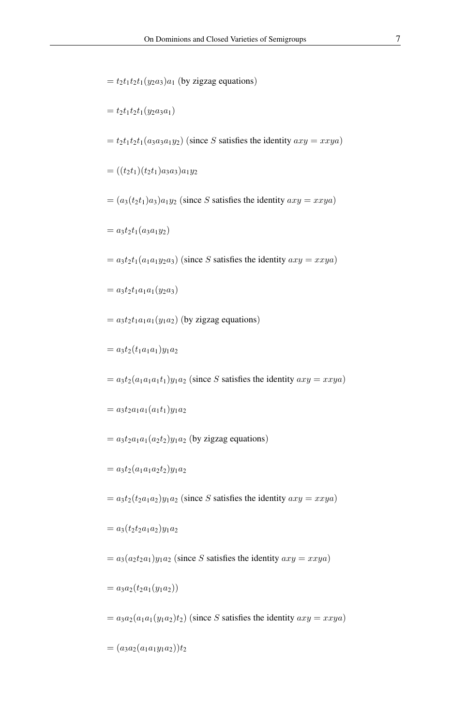- $= t_2t_1t_2t_1(y_2a_3)a_1$  (by zigzag equations)
- $= t_2t_1t_2t_1(y_2a_3a_1)$
- $= t_2t_1t_2t_1(a_3a_3a_1y_2)$  (since S satisfies the identity  $axy = xxya$ )
- $= ((t_2t_1)(t_2t_1)a_3a_3)a_1y_2$
- $=(a_3(t_2t_1)a_3)a_1y_2$  (since S satisfies the identity  $axy = xxya$ )
- $= a_3t_2t_1(a_3a_1y_2)$
- $= a_3t_2t_1(a_1a_1y_2a_3)$  (since S satisfies the identity  $axy = xxya$ )
- $= a_3t_2t_1a_1a_1(y_2a_3)$
- $= a_3t_2t_1a_1a_1(y_1a_2)$  (by zigzag equations)
- $= a_3t_2(t_1a_1a_1)y_1a_2$
- $= a_3t_2(a_1a_1a_1t_1)y_1a_2$  (since S satisfies the identity  $axy = xxya$ )
- $= a_3t_2a_1a_1(a_1t_1)y_1a_2$
- $= a_3t_2a_1a_1(a_2t_2)y_1a_2$  (by zigzag equations)
- $= a_3t_2(a_1a_1a_2t_2)y_1a_2$
- $= a_3t_2(t_2a_1a_2)y_1a_2$  (since S satisfies the identity  $axy = xxya$ )
- $= a_3(t_2t_2a_1a_2)y_1a_2$
- $= a_3(a_2t_2a_1)y_1a_2$  (since S satisfies the identity  $axy = xxya$ )
- $= a_3a_2(t_2a_1(y_1a_2))$
- $= a_3a_2(a_1a_1(y_1a_2)t_2)$  (since S satisfies the identity  $axy = xxya$ )
- $=(a_3a_2(a_1a_1y_1a_2))t_2$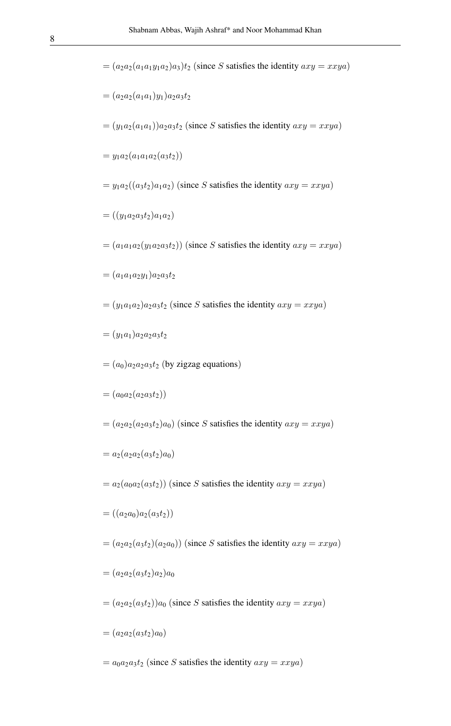- $=(a_2a_2(a_1a_1y_1a_2)a_3)t_2$  (since S satisfies the identity  $axy = xxya$ )
- $=(a_2a_2(a_1a_1)y_1)a_2a_3t_2$
- $=(y_1a_2(a_1a_1))a_2a_3t_2$  (since S satisfies the identity  $axy = xxya$ )
- $= y_1 a_2(a_1 a_1 a_2(a_3 t_2))$
- $= y_1 a_2((a_3t_2)a_1a_2)$  (since S satisfies the identity  $axy = xxya$ )
- $= ((y_1a_2a_3t_2)a_1a_2)$
- $=(a_1a_1a_2(y_1a_2a_3t_2))$  (since S satisfies the identity  $axy = xxya$ )
- $=(a_1a_1a_2y_1)a_2a_3t_2$
- $=(y_1a_1a_2)a_2a_3t_2$  (since S satisfies the identity  $axy = xxya$ )
- $=(y_1a_1)a_2a_2a_3t_2$
- $=(a_0)a_2a_2a_3t_2$  (by zigzag equations)
- $= (a_0a_2(a_2a_3t_2))$
- $=(a_2a_2(a_2a_3t_2)a_0)$  (since S satisfies the identity  $axy = xxya$ )
- $= a_2(a_2a_2(a_3t_2)a_0)$
- $= a_2(a_0a_2(a_3t_2))$  (since S satisfies the identity  $axy = xxya$ )
- $= ((a_2a_0)a_2(a_3t_2))$
- $=(a_2a_2(a_3t_2)(a_2a_0))$  (since S satisfies the identity  $axy = xxya$ )
- $=(a_2a_2(a_3t_2)a_2)a_0$
- $=(a_2a_2(a_3t_2))a_0$  (since S satisfies the identity  $axy = xxya$ )
- $=(a_2a_2(a_3t_2)a_0)$
- $= a_0a_2a_3t_2$  (since S satisfies the identity  $axy = xxya$ )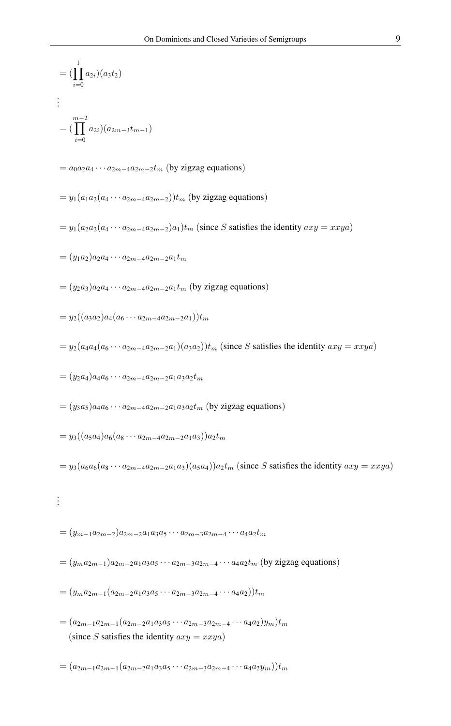$$
= (\prod_{i=0}^{1} a_{2i})(a_3t_2)
$$
  
\n
$$
\vdots
$$
  
\n
$$
= (\prod_{i=0}^{m-2} a_{2i})(a_{2m-3}t_{m-1})
$$

 $= a_0 a_2 a_4 \cdots a_{2m-4} a_{2m-2} t_m$  (by zigzag equations)

- $= y_1(a_1a_2(a_4 \cdots a_{2m-4}a_{2m-2}))t_m$  (by zigzag equations)
- $= y_1(a_2a_2(a_4 \cdots a_{2m-4}a_{2m-2})a_1)t_m$  (since S satisfies the identity  $axy = xxya$ )
- $=(y_1a_2)a_2a_4\cdots a_{2m-4}a_{2m-2}a_1t_m$
- $=(y_2a_3)a_2a_4\cdots a_{2m-4}a_{2m-2}a_1t_m$  (by zigzag equations)
- $= y_2((a_3a_2)a_4(a_6 \cdots a_{2m-4}a_{2m-2}a_1))t_m$
- $= y_2(a_4a_4(a_6 \cdots a_{2m-4}a_{2m-2}a_1)(a_3a_2))$  (since S satisfies the identity  $axy = xxya$ )
- $=(y_2a_4)a_4a_6\cdots a_{2m-4}a_{2m-2}a_1a_3a_2t_m$
- $=(y_3a_5)a_4a_6\cdots a_{2m-4}a_{2m-2}a_1a_3a_2t_m$  (by zigzag equations)
- $= y_3((a_5a_4)a_6(a_8 \cdots a_{2m-4}a_{2m-2}a_1a_3))a_2t_m$

 $= y_3(a_6a_6(a_8 \cdots a_{2m-4}a_{2m-2}a_1a_3)(a_5a_4))a_2t_m$  (since S satisfies the identity  $axy = xxya$ )

. . .

$$
= (y_{m-1}a_{2m-2})a_{2m-2}a_1a_3a_5\cdots a_{2m-3}a_{2m-4}\cdots a_4a_2t_m
$$

- $=(y_ma_{2m-1})a_{2m-2}a_1a_3a_5\cdots a_{2m-3}a_{2m-4}\cdots a_4a_2t_m$  (by zigzag equations)
- $=(y_ma_{2m-1}(a_{2m-2}a_1a_3a_5\cdots a_{2m-3}a_{2m-4}\cdots a_4a_2))t_m$
- $=(a_{2m-1}a_{2m-1}(a_{2m-2}a_1a_3a_5\cdots a_{2m-3}a_{2m-4}\cdots a_4a_2)y_m)t_m$ (since S satisfies the identity  $axy = xxya$ )
- $=(a_{2m-1}a_{2m-1}(a_{2m-2}a_1a_3a_5\cdots a_{2m-3}a_{2m-4}\cdots a_4a_2y_m))t_m$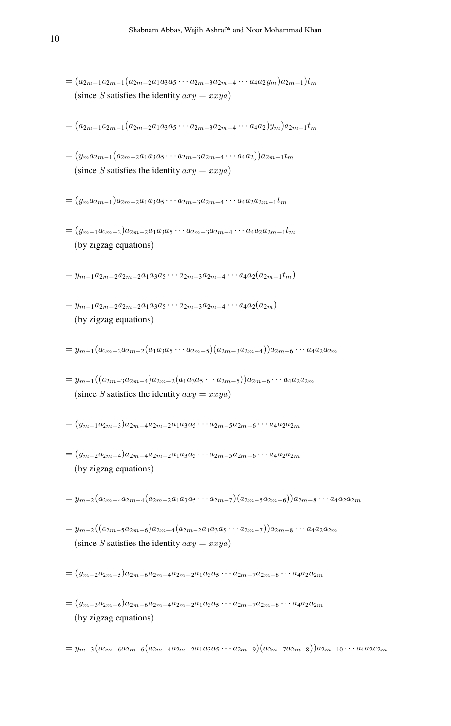$=(a_{2m-1}a_{2m-1}(a_{2m-2}a_1a_3a_5\cdots a_{2m-3}a_{2m-4}\cdots a_4a_2y_m)a_{2m-1})t_m$ (since S satisfies the identity  $axy = xxya$ )

$$
= (a_{2m-1}a_{2m-1}(a_{2m-2}a_1a_3a_5\cdots a_{2m-3}a_{2m-4}\cdots a_4a_2)y_m)a_{2m-1}t_m
$$

- $=(y_m a_{2m-1}(a_{2m-2}a_1 a_3 a_5 \cdots a_{2m-3}a_{2m-4} \cdots a_4 a_2))a_{2m-1}t_m$ (since S satisfies the identity  $axy = xxya$ )
- $=(y_ma_{2m-1})a_{2m-2}a_1a_3a_5\cdots a_{2m-3}a_{2m-4}\cdots a_4a_2a_{2m-1}t_m$
- $=(y_{m-1}a_{2m-2})a_{2m-2}a_1a_3a_5\cdots a_{2m-3}a_{2m-4}\cdots a_4a_2a_{2m-1}t_m$ (by zigzag equations)

 $= y_{m-1}a_{2m-2}a_{2m-2}a_1a_3a_5\cdots a_{2m-3}a_{2m-4}\cdots a_4a_2(a_{2m-1}t_m)$ 

- $= y_{m-1}a_{2m-2}a_{2m-2}a_1a_3a_5\cdots a_{2m-3}a_{2m-4}\cdots a_4a_2(a_{2m})$ (by zigzag equations)
- $= y_{m-1}(a_{2m-2}a_{2m-2}(a_1a_3a_5\cdots a_{2m-5})(a_{2m-3}a_{2m-4}))a_{2m-6}\cdots a_4a_2a_{2m}$
- $= y_{m-1}((a_{2m-3}a_{2m-4})a_{2m-2}(a_1a_3a_5\cdots a_{2m-5}))a_{2m-6}\cdots a_4a_2a_{2m}$ (since S satisfies the identity  $axy = xxya$ )
- $=(y_{m-1}a_{2m-3})a_{2m-4}a_{2m-2}a_1a_3a_5\cdots a_{2m-5}a_{2m-6}\cdots a_4a_2a_{2m}$
- $=(y_{m-2}a_{2m-4})a_{2m-4}a_{2m-2}a_1a_3a_5\cdots a_{2m-5}a_{2m-6}\cdots a_4a_2a_{2m}$ (by zigzag equations)
- $= y_{m-2}(a_{2m-4}a_{2m-4}(a_{2m-2}a_1a_3a_5\cdots a_{2m-7})(a_{2m-5}a_{2m-6}))a_{2m-8}\cdots a_4a_2a_{2m}$
- $= y_{m-2}((a_{2m-5}a_{2m-6})a_{2m-4}(a_{2m-2}a_1a_3a_5\cdots a_{2m-7}))a_{2m-8}\cdots a_4a_2a_{2m}$ (since S satisfies the identity  $axy = xxya$ )
- $=(y_{m-2}a_{2m-5})a_{2m-6}a_{2m-4}a_{2m-2}a_1a_3a_5\cdots a_{2m-7}a_{2m-8}\cdots a_4a_2a_{2m}$
- $=(y_{m-3}a_{2m-6})a_{2m-6}a_{2m-4}a_{2m-2}a_1a_3a_5\cdots a_{2m-7}a_{2m-8}\cdots a_4a_2a_{2m}$ (by zigzag equations)
- $= y_{m-3}(a_{2m-6}a_{2m-6}(a_{2m-4}a_{2m-2}a_1a_3a_5\cdots a_{2m-9})(a_{2m-7}a_{2m-8}))a_{2m-10}\cdots a_4a_2a_{2m}$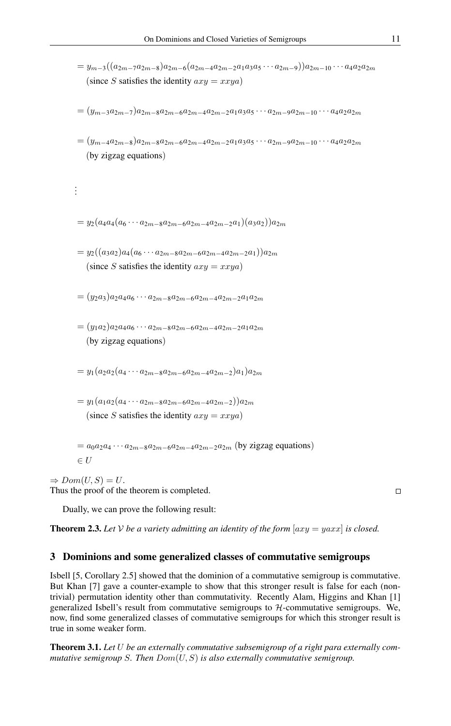- $= y_{m-3}((a_{2m-7}a_{2m-8})a_{2m-6}(a_{2m-4}a_{2m-2}a_1a_3a_5\cdots a_{2m-9}))a_{2m-10}\cdots a_4a_2a_{2m}$ (since S satisfies the identity  $axy = xxya$ )
- $=(y_{m-3}a_{2m-7})a_{2m-8}a_{2m-6}a_{2m-4}a_{2m-2}a_1a_3a_5\cdots a_{2m-9}a_{2m-10}\cdots a_4a_2a_{2m}$
- $=(y_{m-4}a_{2m-8})a_{2m-8}a_{2m-6}a_{2m-4}a_{2m-2}a_1a_3a_5\cdots a_{2m-9}a_{2m-10}\cdots a_4a_2a_{2m}$ (by zigzag equations)
- $= y_2(a_4a_4(a_6 \cdots a_{2m-8}a_{2m-6}a_{2m-4}a_{2m-2}a_1)(a_3a_2))a_{2m}$

. . .

- $= y_2((a_3a_2)a_4(a_6 \cdots a_{2m-8}a_{2m-6}a_{2m-4}a_{2m-2}a_1))a_{2m}$ (since S satisfies the identity  $axy = xxya$ )
- $=(y_2a_3)a_2a_4a_6\cdots a_{2m-8}a_{2m-6}a_{2m-4}a_{2m-2}a_1a_{2m}$
- $=(y_1a_2)a_2a_4a_6\cdots a_{2m-8}a_{2m-6}a_{2m-4}a_{2m-2}a_1a_{2m}$ (by zigzag equations)
- $= y_1(a_2a_2(a_4 \cdots a_{2m-8}a_{2m-6}a_{2m-4}a_{2m-2})a_1)a_{2m}$
- $= y_1(a_1a_2(a_4 \cdots a_{2m-8}a_{2m-6}a_{2m-4}a_{2m-2}))a_{2m}$ (since S satisfies the identity  $axy = xxya$ )
- $= a_0 a_2 a_4 \cdots a_{2m-8} a_{2m-6} a_{2m-4} a_{2m-2} a_{2m}$  (by zigzag equations)

 $\Rightarrow Dom(U, S) = U.$ Thus the proof of the theorem is completed.

 $\in U$ 

Dually, we can prove the following result:

**Theorem 2.3.** Let V be a variety admitting an identity of the form  $[axy = yaxx]$  is closed.

#### 3 Dominions and some generalized classes of commutative semigroups

Isbell [5, Corollary 2.5] showed that the dominion of a commutative semigroup is commutative. But Khan [7] gave a counter-example to show that this stronger result is false for each (nontrivial) permutation identity other than commutativity. Recently Alam, Higgins and Khan [1] generalized Isbell's result from commutative semigroups to  $H$ -commutative semigroups. We, now, find some generalized classes of commutative semigroups for which this stronger result is true in some weaker form.

Theorem 3.1. *Let* U *be an externally commutative subsemigroup of a right para externally commutative semigroup* S*. Then* Dom(U, S) *is also externally commutative semigroup.*

 $\Box$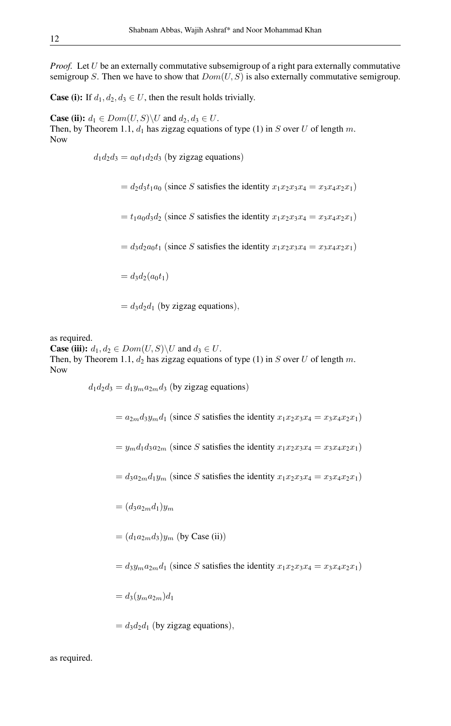*Proof.* Let U be an externally commutative subsemigroup of a right para externally commutative semigroup S. Then we have to show that  $Dom(U, S)$  is also externally commutative semigroup.

**Case (i):** If  $d_1, d_2, d_3 \in U$ , then the result holds trivially.

**Case (ii):**  $d_1 \in Dom(U, S) \backslash U$  and  $d_2, d_3 \in U$ . Then, by Theorem 1.1,  $d_1$  has zigzag equations of type (1) in S over U of length m. Now

 $d_1 d_2 d_3 = a_0 t_1 d_2 d_3$  (by zigzag equations)

 $= d_2 d_3 t_1 a_0$  (since S satisfies the identity  $x_1 x_2 x_3 x_4 = x_3 x_4 x_2 x_1$ )

 $= t_1a_0d_3d_2$  (since S satisfies the identity  $x_1x_2x_3x_4 = x_3x_4x_2x_1$ )

 $= d_3d_2a_0t_1$  (since S satisfies the identity  $x_1x_2x_3x_4 = x_3x_4x_2x_1$ )

 $= d_3d_2(a_0t_1)$ 

 $= d_3d_2d_1$  (by zigzag equations),

as required.

**Case (iii):**  $d_1, d_2 \in Dom(U, S) \backslash U$  and  $d_3 \in U$ . Then, by Theorem 1.1,  $d_2$  has zigzag equations of type (1) in S over U of length m. Now

> $d_1d_2d_3 = d_1y_ma_{2m}d_3$  (by zigzag equations)  $= a_{2m}d_3y_m d_1$  (since S satisfies the identity  $x_1x_2x_3x_4 = x_3x_4x_2x_1$ )  $= y_m d_1 d_3 a_{2m}$  (since S satisfies the identity  $x_1 x_2 x_3 x_4 = x_3 x_4 x_2 x_1$ )  $= d_3a_{2m}d_1y_m$  (since S satisfies the identity  $x_1x_2x_3x_4 = x_3x_4x_2x_1$ )  $=(d_3a_{2m}d_1)y_m$  $=(d_1a_{2m}d_3)y_m$  (by Case (ii))  $= d_3y_ma_{2m}d_1$  (since S satisfies the identity  $x_1x_2x_3x_4 = x_3x_4x_2x_1$ )  $= d_3(y_m a_{2m})d_1$  $= d_3d_2d_1$  (by zigzag equations),

as required.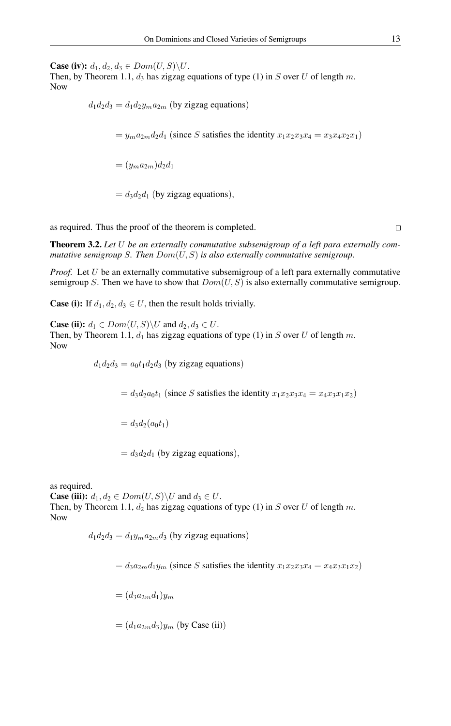**Case (iv):**  $d_1, d_2, d_3 \in Dom(U, S) \backslash U$ .

Then, by Theorem 1.1,  $d_3$  has zigzag equations of type (1) in S over U of length m. Now

> $d_1 d_2 d_3 = d_1 d_2 y_m a_{2m}$  (by zigzag equations)  $= y_m a_{2m} d_2 d_1$  (since S satisfies the identity  $x_1 x_2 x_3 x_4 = x_3 x_4 x_2 x_1$ )  $=(y_m a_{2m})d_2 d_1$  $= d_3d_2d_1$  (by zigzag equations),

as required. Thus the proof of the theorem is completed.

 $\Box$ 

Theorem 3.2. *Let* U *be an externally commutative subsemigroup of a left para externally commutative semigroup* S*. Then* Dom(U, S) *is also externally commutative semigroup.*

*Proof.* Let U be an externally commutative subsemigroup of a left para externally commutative semigroup S. Then we have to show that  $Dom(U, S)$  is also externally commutative semigroup.

**Case (i):** If  $d_1, d_2, d_3 \in U$ , then the result holds trivially.

**Case (ii):**  $d_1 \in Dom(U, S) \backslash U$  and  $d_2, d_3 \in U$ . Then, by Theorem 1.1,  $d_1$  has zigzag equations of type (1) in S over U of length m. Now

 $d_1 d_2 d_3 = a_0 t_1 d_2 d_3$  (by zigzag equations)

 $= d_3d_2a_0t_1$  (since S satisfies the identity  $x_1x_2x_3x_4 = x_4x_3x_1x_2$ )

$$
= d_3 d_2(a_0 t_1)
$$

$$
= d_3 d_2 d_1 \text{ (by zigzag equations)},
$$

as required. **Case (iii):**  $d_1, d_2 \in Dom(U, S) \backslash U$  and  $d_3 \in U$ . Then, by Theorem 1.1,  $d_2$  has zigzag equations of type (1) in S over U of length m. Now

 $d_1d_2d_3 = d_1y_ma_{2m}d_3$  (by zigzag equations)

 $= d_3a_{2m}d_1y_m$  (since S satisfies the identity  $x_1x_2x_3x_4 = x_4x_3x_1x_2$ )

 $=(d_3a_{2m}d_1)_{m}$ 

 $=(d_1a_{2m}d_3)y_m$  (by Case (ii))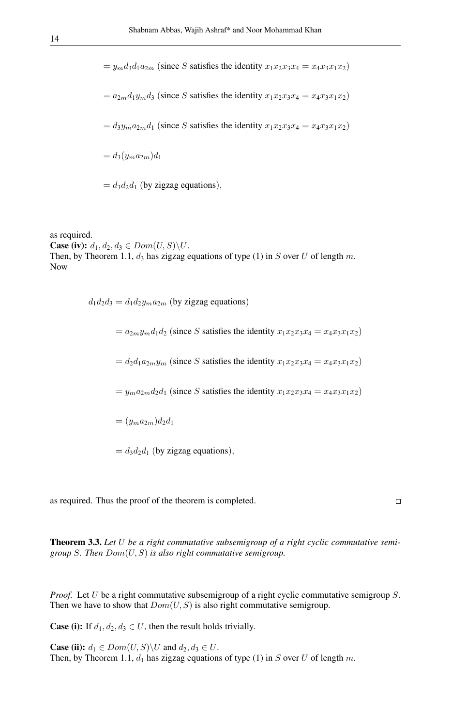$= y_m d_3 d_1 a_{2m}$  (since S satisfies the identity  $x_1 x_2 x_3 x_4 = x_4 x_3 x_1 x_2$ )  $= a_{2m}d_1y_m d_3$  (since S satisfies the identity  $x_1x_2x_3x_4 = x_4x_3x_1x_2$ )  $= d_3y_m a_{2m}d_1$  (since S satisfies the identity  $x_1x_2x_3x_4 = x_4x_3x_1x_2$ )  $= d_3(y_m a_{2m})d_1$  $= d_3d_2d_1$  (by zigzag equations),

as required. **Case (iv):**  $d_1, d_2, d_3 \in Dom(U, S) \backslash U$ . Then, by Theorem 1.1,  $d_3$  has zigzag equations of type (1) in S over U of length m. Now

> $d_1 d_2 d_3 = d_1 d_2 y_m a_{2m}$  (by zigzag equations)  $= a_{2m}y_m d_1 d_2$  (since S satisfies the identity  $x_1x_2x_3x_4 = x_4x_3x_1x_2$ )  $= d_2d_1a_{2m}y_m$  (since S satisfies the identity  $x_1x_2x_3x_4 = x_4x_3x_1x_2$ )  $= y_m a_{2m} d_2 d_1$  (since S satisfies the identity  $x_1 x_2 x_3 x_4 = x_4 x_3 x_1 x_2$ )  $=(y_m a_{2m})d_2d_1$  $= d_3d_2d_1$  (by zigzag equations),

as required. Thus the proof of the theorem is completed.

 $\Box$ 

Theorem 3.3. *Let* U *be a right commutative subsemigroup of a right cyclic commutative semigroup* S*. Then* Dom(U, S) *is also right commutative semigroup.*

*Proof.* Let U be a right commutative subsemigroup of a right cyclic commutative semigroup S. Then we have to show that  $Dom(U, S)$  is also right commutative semigroup.

**Case (i):** If  $d_1, d_2, d_3 \in U$ , then the result holds trivially.

**Case (ii):**  $d_1 \in Dom(U, S) \backslash U$  and  $d_2, d_3 \in U$ . Then, by Theorem 1.1,  $d_1$  has zigzag equations of type (1) in S over U of length m.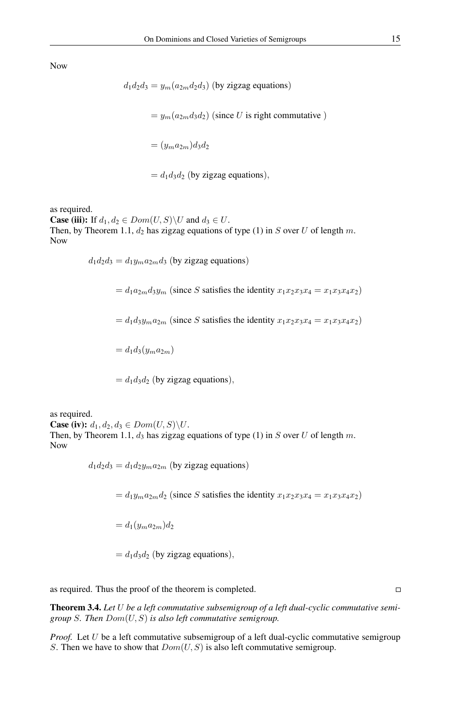Now

$$
d_1 d_2 d_3 = y_m (a_{2m} d_2 d_3)
$$
 (by zigzag equations)  
=  $y_m (a_{2m} d_3 d_2)$  (since *U* is right commutative)  
=  $(y_m a_{2m}) d_3 d_2$ 

 $= d_1 d_3 d_2$  (by zigzag equations),

as required.

**Case (iii):** If  $d_1, d_2 \in Dom(U, S) \backslash U$  and  $d_3 \in U$ . Then, by Theorem 1.1,  $d_2$  has zigzag equations of type (1) in S over U of length m. Now

 $d_1d_2d_3 = d_1y_ma_{2m}d_3$  (by zigzag equations)

 $= d_1a_{2m}d_3y_m$  (since S satisfies the identity  $x_1x_2x_3x_4 = x_1x_3x_4x_2$ )

 $= d_1 d_3 y_m a_{2m}$  (since S satisfies the identity  $x_1 x_2 x_3 x_4 = x_1 x_3 x_4 x_2$ )

 $= d_1 d_3 (y_m a_{2m})$ 

 $= d_1 d_3 d_2$  (by zigzag equations),

as required. **Case (iv):**  $d_1, d_2, d_3 \in Dom(U, S) \backslash U$ . Then, by Theorem 1.1,  $d_3$  has zigzag equations of type (1) in S over U of length m. Now

 $d_1d_2d_3 = d_1d_2y_ma_{2m}$  (by zigzag equations)

 $= d_1y_m a_{2m}d_2$  (since S satisfies the identity  $x_1x_2x_3x_4 = x_1x_3x_4x_2$ )

$$
= d_1(y_m a_{2m}) d_2
$$

$$
= d_1 d_3 d_2 \text{ (by zigzag equations)},
$$

as required. Thus the proof of the theorem is completed.

 $\Box$ 

Theorem 3.4. *Let* U *be a left commutative subsemigroup of a left dual-cyclic commutative semigroup* S*. Then* Dom(U, S) *is also left commutative semigroup.*

*Proof.* Let U be a left commutative subsemigroup of a left dual-cyclic commutative semigroup S. Then we have to show that  $Dom(U, S)$  is also left commutative semigroup.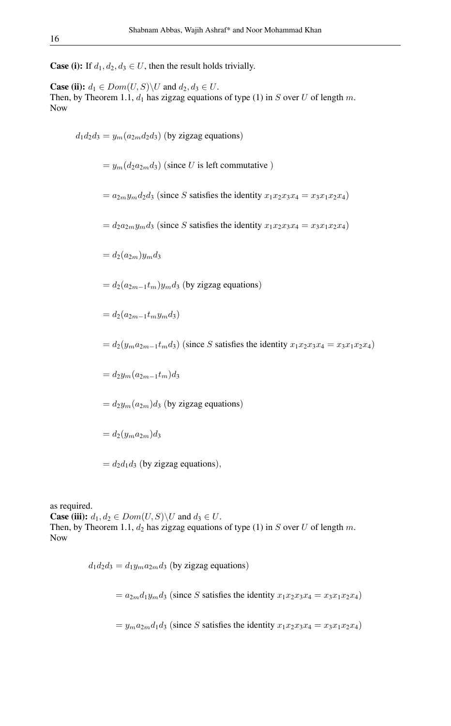**Case (i):** If  $d_1, d_2, d_3 \in U$ , then the result holds trivially.

**Case (ii):**  $d_1 \in Dom(U, S) \backslash U$  and  $d_2, d_3 \in U$ . Then, by Theorem 1.1,  $d_1$  has zigzag equations of type (1) in S over U of length m. Now

 $d_1d_2d_3 = y_m(a_{2m}d_2d_3)$  (by zigzag equations)

 $= y_m(d_2a_{2m}d_3)$  (since U is left commutative)

 $= a_{2m}y_m d_2 d_3$  (since S satisfies the identity  $x_1x_2x_3x_4 = x_3x_1x_2x_4$ )

 $= d_2 a_{2m} y_m d_3$  (since S satisfies the identity  $x_1 x_2 x_3 x_4 = x_3 x_1 x_2 x_4$ )

 $= d_2(a_{2m})y_m d_3$ 

 $= d_2(a_{2m-1}t_m)y_m d_3$  (by zigzag equations)

 $= d_2(a_{2m-1}t_my_m d_3)$ 

 $= d_2(y_m a_{2m-1}t_m d_3)$  (since S satisfies the identity  $x_1x_2x_3x_4 = x_3x_1x_2x_4$ )

 $= d_2y_m(a_{2m-1}t_m)d_3$ 

 $= d_2y_m(a_{2m})d_3$  (by zigzag equations)

 $= d_2(y_m a_{2m})d_3$ 

 $= d_2d_1d_3$  (by zigzag equations),

as required. **Case (iii):**  $d_1, d_2 \in Dom(U, S) \backslash U$  and  $d_3 \in U$ . Then, by Theorem 1.1,  $d_2$  has zigzag equations of type (1) in S over U of length m. Now

> $d_1 d_2 d_3 = d_1 y_m a_{2m} d_3$  (by zigzag equations)  $= a_{2m}d_1y_m d_3$  (since S satisfies the identity  $x_1x_2x_3x_4 = x_3x_1x_2x_4$ )  $= y_m a_{2m} d_1 d_3$  (since S satisfies the identity  $x_1 x_2 x_3 x_4 = x_3 x_1 x_2 x_4$ )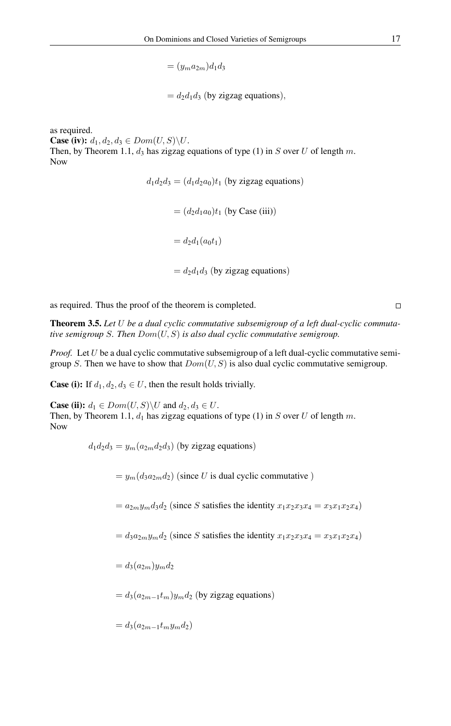$=(y_m a_{2m})d_1 d_3$ 

 $= d_2d_1d_3$  (by zigzag equations),

as required. **Case (iv):**  $d_1, d_2, d_3 \in Dom(U, S) \backslash U$ . Then, by Theorem 1.1,  $d_3$  has zigzag equations of type (1) in S over U of length m. Now

> $d_1d_2d_3 = (d_1d_2a_0)t_1$  (by zigzag equations)  $=(d_2d_1a_0)t_1$  (by Case (iii))  $= d_2d_1(a_0t_1)$  $= d_2d_1d_3$  (by zigzag equations)

as required. Thus the proof of the theorem is completed.

Theorem 3.5. *Let* U *be a dual cyclic commutative subsemigroup of a left dual-cyclic commutative semigroup* S*. Then* Dom(U, S) *is also dual cyclic commutative semigroup.*

*Proof.* Let U be a dual cyclic commutative subsemigroup of a left dual-cyclic commutative semigroup S. Then we have to show that  $Dom(U, S)$  is also dual cyclic commutative semigroup.

**Case (i):** If  $d_1, d_2, d_3 \in U$ , then the result holds trivially.

**Case (ii):**  $d_1 \in Dom(U, S) \backslash U$  and  $d_2, d_3 \in U$ . Then, by Theorem 1.1,  $d_1$  has zigzag equations of type (1) in S over U of length m. Now

 $d_1d_2d_3 = y_m(a_{2m}d_2d_3)$  (by zigzag equations)

 $= y_m(d_3a_{2m}d_2)$  (since U is dual cyclic commutative)

 $= a_{2m}y_m d_3 d_2$  (since S satisfies the identity  $x_1x_2x_3x_4 = x_3x_1x_2x_4$ )

 $= d_3a_{2m}y_m d_2$  (since S satisfies the identity  $x_1x_2x_3x_4 = x_3x_1x_2x_4$ )

 $= d_3(a_{2m})y_m d_2$ 

 $= d_3(a_{2m-1}t_m)y_m d_2$  (by zigzag equations)

$$
= d_3(a_{2m-1}t_my_m d_2)
$$

 $\Box$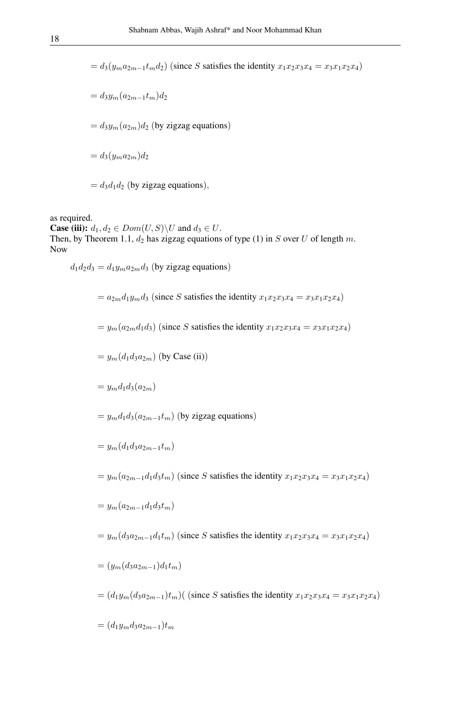$= d_3(y_m a_{2m-1}t_m d_2)$  (since S satisfies the identity  $x_1x_2x_3x_4 = x_3x_1x_2x_4$ )

 $= d_3y_m(a_{2m-1}t_m)d_2$  $= d_3y_m(a_{2m})d_2$  (by zigzag equations)  $= d_3(y_m a_{2m})d_2$  $= d_3d_1d_2$  (by zigzag equations),

as required.

**Case (iii):**  $d_1, d_2 \in Dom(U, S) \backslash U$  and  $d_3 \in U$ . Then, by Theorem 1.1,  $d_2$  has zigzag equations of type (1) in S over U of length m. Now

 $d_1d_2d_3 = d_1y_ma_{2m}d_3$  (by zigzag equations)

$$
= a_{2m}d_{1}y_{m}d_{3} \text{ (since } S \text{ satisfies the identity } x_{1}x_{2}x_{3}x_{4} = x_{3}x_{1}x_{2}x_{4}\text{)}
$$
\n
$$
= y_{m}(a_{2m}d_{1}d_{3}) \text{ (since } S \text{ satisfies the identity } x_{1}x_{2}x_{3}x_{4} = x_{3}x_{1}x_{2}x_{4}\text{)}
$$
\n
$$
= y_{m}(d_{1}d_{3}a_{2m}) \text{ (by Case (ii))}
$$
\n
$$
= y_{m}d_{1}d_{3}(a_{2m})
$$
\n
$$
= y_{m}d_{1}d_{3}(a_{2m-1}t_{m}) \text{ (by zigzag equations)}
$$
\n
$$
= y_{m}(a_{1}d_{3}a_{2m-1}t_{m})
$$
\n
$$
= y_{m}(a_{2m-1}d_{1}d_{3}t_{m}) \text{ (since } S \text{ satisfies the identity } x_{1}x_{2}x_{3}x_{4} = x_{3}x_{1}x_{2}x_{4}\text{)}
$$
\n
$$
= y_{m}(a_{2m-1}d_{1}d_{3}t_{m})
$$
\n
$$
= y_{m}(d_{3}a_{2m-1}d_{1}t_{m}) \text{ (since } S \text{ satisfies the identity } x_{1}x_{2}x_{3}x_{4} = x_{3}x_{1}x_{2}x_{4}\text{)}
$$
\n
$$
= (y_{m}(d_{3}a_{2m-1})d_{1}t_{m})
$$
\n
$$
= (d_{1}y_{m}(d_{3}a_{2m-1})t_{m}) \text{ ( (since } S \text{ satisfies the identity } x_{1}x_{2}x_{3}x_{4} = x_{3}x_{1}x_{2}x_{4}\text{)}
$$
\n
$$
= (d_{1}y_{m}(d_{3}a_{2m-1})t_{m})
$$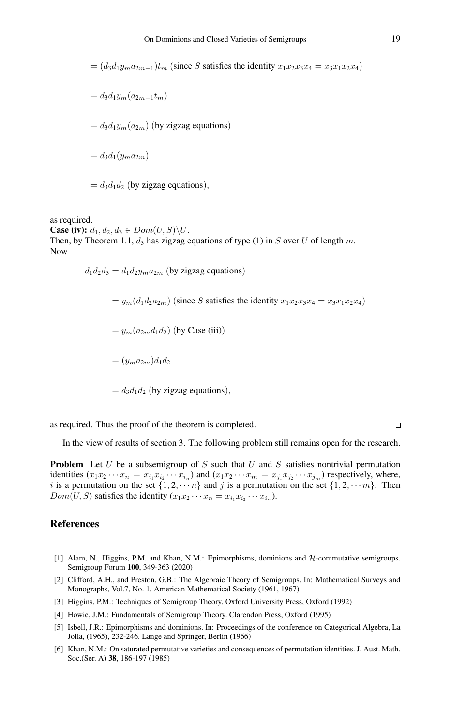$=(d_3d_1y_ma_{2m-1})t_m$  (since S satisfies the identity  $x_1x_2x_3x_4 = x_3x_1x_2x_4$ )

$$
= d_3 d_1 y_m (a_{2m-1} t_m)
$$

 $= d_3d_1y_m(a_{2m})$  (by zigzag equations)

 $= d_3d_1(y_m a_{2m})$ 

 $= d_3d_1d_2$  (by zigzag equations),

as required.

**Case (iv):**  $d_1, d_2, d_3 \in Dom(U, S) \backslash U$ . Then, by Theorem 1.1,  $d_3$  has zigzag equations of type (1) in S over U of length m. Now

 $d_1 d_2 d_3 = d_1 d_2 y_m a_{2m}$  (by zigzag equations)

 $= y_m(d_1d_2a_{2m})$  (since S satisfies the identity  $x_1x_2x_3x_4 = x_3x_1x_2x_4$ )

 $= y_m(a_{2m}d_1d_2)$  (by Case (iii))

 $=(y_{m}a_{2m})d_{1}d_{2}$ 

 $= d_3d_1d_2$  (by zigzag equations),

as required. Thus the proof of the theorem is completed.

#### $\Box$

In the view of results of section 3. The following problem still remains open for the research.

**Problem** Let U be a subsemigroup of S such that U and S satisfies nontrivial permutation identities  $(x_1x_2 \cdots x_n = x_{i_1}x_{i_2} \cdots x_{i_n}$  and  $(x_1x_2 \cdots x_m = x_{j_1}x_{j_2} \cdots x_{j_m}$  respectively, where, i is a permutation on the set  $\{1, 2, \dots n\}$  and j is a permutation on the set  $\{1, 2, \dots m\}$ . Then  $Dom(U, S)$  satisfies the identity  $(x_1 x_2 \cdots x_n = x_{i_1} x_{i_2} \cdots x_{i_n}$ ).

#### <span id="page-18-0"></span>References

- [1] Alam, N., Higgins, P.M. and Khan, N.M.: Epimorphisms, dominions and H-commutative semigroups. Semigroup Forum 100, 349-363 (2020)
- [2] Clifford, A.H., and Preston, G.B.: The Algebraic Theory of Semigroups. In: Mathematical Surveys and Monographs, Vol.7, No. 1. American Mathematical Society (1961, 1967)
- [3] Higgins, P.M.: Techniques of Semigroup Theory. Oxford University Press, Oxford (1992)
- [4] Howie, J.M.: Fundamentals of Semigroup Theory. Clarendon Press, Oxford (1995)
- [5] Isbell, J.R.: Epimorphisms and dominions. In: Proceedings of the conference on Categorical Algebra, La Jolla, (1965), 232-246. Lange and Springer, Berlin (1966)
- [6] Khan, N.M.: On saturated permutative varieties and consequences of permutation identities. J. Aust. Math. Soc.(Ser. A) 38, 186-197 (1985)